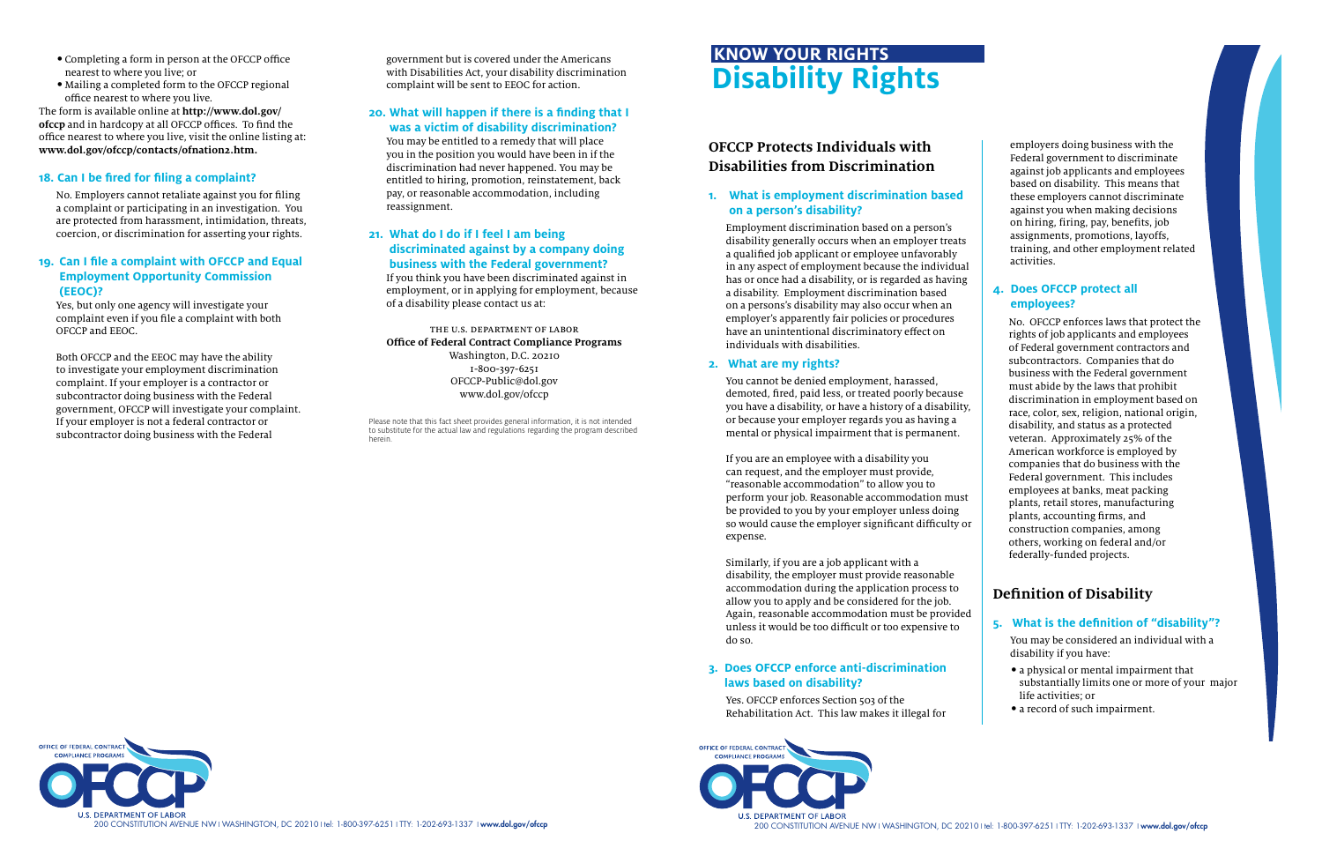# **OFCCP Protects Individuals with Disabilities from Discrimination**

#### **1. What is employment discrimination based on a person's disability?**

Employment discrimination based on a person's disability generally occurs when an employer treats a qualified job applicant or employee unfavorably in any aspect of employment because the individual has or once had a disability, or is regarded as having a disability. Employment discrimination based on a persons's disability may also occur when an employer's apparently fair policies or procedures have an unintentional discriminatory effect on individuals with disabilities.

### **2. What are my rights?**

You cannot be denied employment, harassed, demoted, fired, paid less, or treated poorly because you have a disability, or have a history of a disability, or because your employer regards you as having a mental or physical impairment that is permanent.

If you are an employee with a disability you can request, and the employer must provide, "reasonable accommodation" to allow you to perform your job. Reasonable accommodation must be provided to you by your employer unless doing so would cause the employer significant difficulty or expense.

Similarly, if you are a job applicant with a disability, the employer must provide reasonable accommodation during the application process to allow you to apply and be considered for the job. Again, reasonable accommodation must be provided unless it would be too difficult or too expensive to do so.

## **3. Does OFCCP enforce anti-discrimination laws based on disability?**

Yes. OFCCP enforces Section 503 of the Rehabilitation Act. This law makes it illegal for





employers doing business with the Federal government to discriminate against job applicants and employees based on disability. This means that these employers cannot discriminate against you when making decisions on hiring, firing, pay, benefits, job assignments, promotions, layoffs, training, and other employment related activities.

#### **4. Does OFCCP protect all employees?**

 No. OFCCP enforces laws that protect the rights of job applicants and employees of Federal government contractors and subcontractors. Companies that do business with the Federal government must abide by the laws that prohibit discrimination in employment based on race, color, sex, religion, national origin, disability, and status as a protected veteran. Approximately 25% of the American workforce is employed by companies that do business with the Federal government. This includes employees at banks, meat packing plants, retail stores, manufacturing plants, accounting firms, and construction companies, among others, working on federal and/or federally-funded projects.

# **Definition of Disability**

#### **5. What is the definition of "disability"?**

You may be considered an individual with a disability if you have:

- a physical or mental impairment that substantially limits one or more of your major life activities; or
- a record of such impairment.
- Completing a form in person at the OFCCP office nearest to where you live; or
- Mailing a completed form to the OFCCP regional office nearest to where you live.

The form is available online at **http://www.dol.gov/ ofccp** and in hardcopy at all OFCCP offices. To find the office nearest to where you live, visit the online listing at: **www.dol.gov/ofccp/contacts/ofnation2.htm.**

#### **18. Can I be fired for filing a complaint?**

No. Employers cannot retaliate against you for filing a complaint or participating in an investigation. You are protected from harassment, intimidation, threats, coercion, or discrimination for asserting your rights.

#### **19. Can I file a complaint with OFCCP and Equal Employment Opportunity Commission (EEOC)?**

Yes, but only one agency will investigate your complaint even if you file a complaint with both OFCCP and EEOC.

Both OFCCP and the EEOC may have the ability to investigate your employment discrimination complaint. If your employer is a contractor or subcontractor doing business with the Federal government, OFCCP will investigate your complaint. If your employer is not a federal contractor or subcontractor doing business with the Federal

government but is covered under the Americans with Disabilities Act, your disability discrimination complaint will be sent to EEOC for action.

### **20. What will happen if there is a finding that I was a victim of disability discrimination?**

You may be entitled to a remedy that will place you in the position you would have been in if the discrimination had never happened. You may be entitled to hiring, promotion, reinstatement, back pay, or reasonable accommodation, including reassignment.

# **21. What do I do if I feel I am being discriminated against by a company doing**

**business with the Federal government?** If you think you have been discriminated against in employment, or in applying for employment, because of a disability please contact us at:

the u.s. department of labor **Office of Federal Contract Compliance Programs** Washington, D.C. 20210 1-800-397-6251 OFCCP-Public@dol.gov www.dol.gov/ofccp

# **Disability Rights KNOW YOUR RIGHTS**

Please note that this fact sheet provides general information, it is not intended to substitute for the actual law and regulations regarding the program described herein.